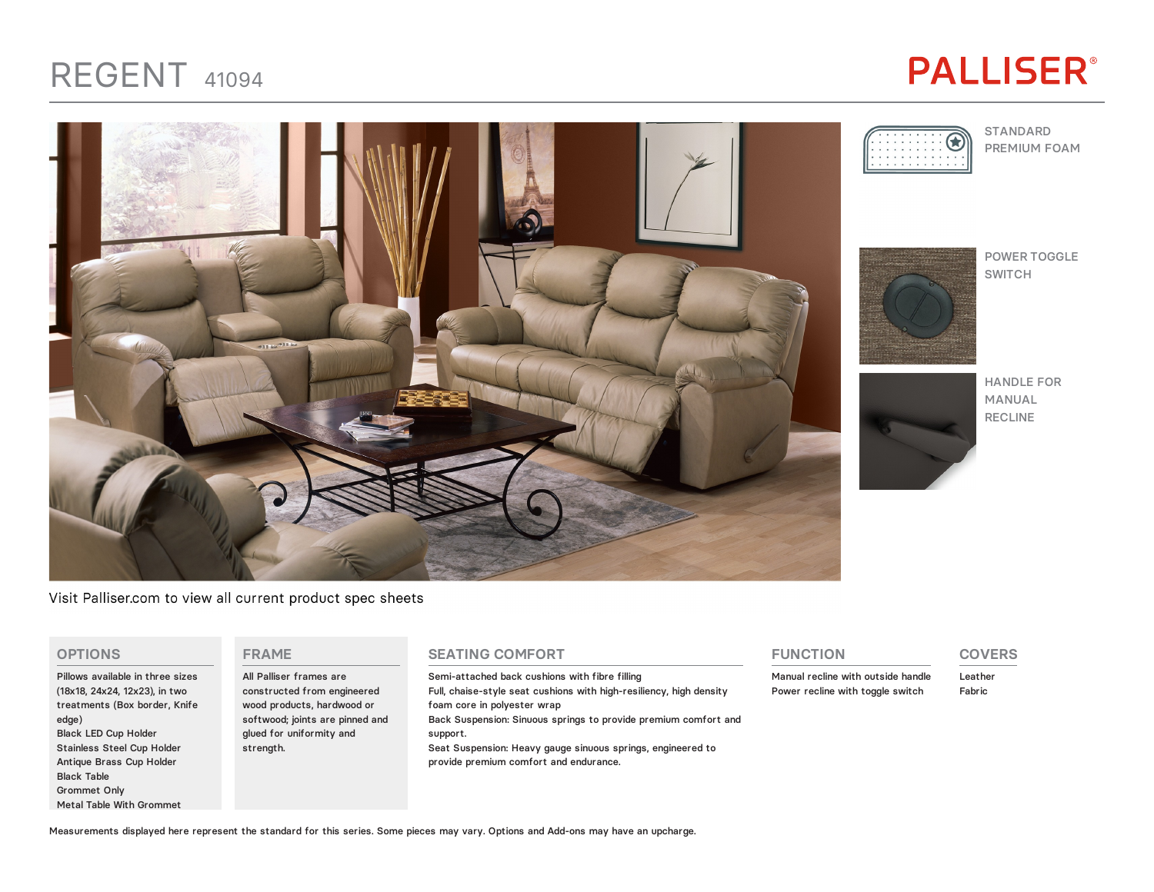## REGENT <sup>41094</sup>

## **PALLISER®**

STANDARD PREMIUM FOAM



POWER TOGGLE SWITCH

HANDLE FOR MANUAL RECLINE

Visit Palliser.com to view all current product spec sheets

#### **OPTIONS**

Pillows available in three sizes (18x18, 24x24, 12x23), in two treatments (Box border, Knife edge) Black LED Cup Holder Stainless Steel Cup Holder Antique Brass Cup Holder Black Table Grommet Only Metal Table With Grommet

#### **FRAME**

All Palliser frames are constructed from engineered wood products, hardwood or softwood; joints are pinned and glued for uniformity and strength.

#### **SEATING COMFORT**

Semi-attached back cushions with fibre filling Full, chaise-style seat cushions with high-resiliency, high density foam core in polyester wrap Back Suspension: Sinuous springs to provide premium comfort and support. Seat Suspension: Heavy gauge sinuous springs, engineered to provide premium comfort and endurance.

#### **FUNCTION**

Manual recline with outside handle Power recline with toggle switch

#### **COVERS**

Leather Fabric

Measurements displayed here represent the standard for this series. Some pieces may vary. Options and Add-ons may have an upcharge.